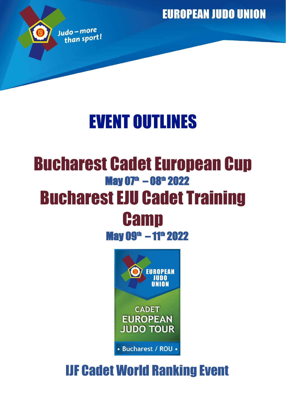**EUROPEAN JUDO UNION** 



# EVENT OUTLINES

## Bucharest Cadet European Cup  $\mu$ May 07<sup>th</sup> – 08<sup>th</sup> 2022 Bucharest EJU Cadet Training **Camp**

May 09<sup>th</sup> – 11<sup>th</sup> 2022



## IJF Cadet World Ranking Event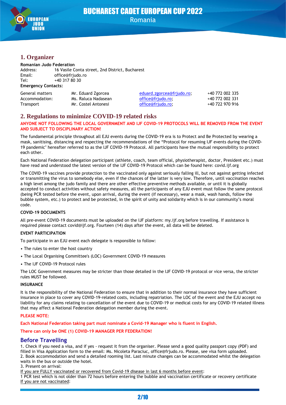

## BUCHAREST CADET EUROPEAN CUP 2022 Romania

## **1. Organizer**

#### **Romanian Judo Federation**

| Address:                   | 16 Vasile Conta street, 2nd District, Bucharest |
|----------------------------|-------------------------------------------------|
| Email:                     | office@frjudo.ro                                |
| Tel:                       | +40 317 80 30                                   |
| <b>Emergency Contacts:</b> |                                                 |

| General matters | Mr. Eduard Zgorcea  | eduard.zgorcea@frjudo.ro; | +40 772 002 335 |
|-----------------|---------------------|---------------------------|-----------------|
| Accommodation:  | Ms. Raluca Nadasean | office@friudo.ro:         | +40 772 002 331 |
| Transport       | Mr. Costel Antonesi | office@friudo.ro:         | +40 722 970 916 |

## **2. Regulations to minimize COVID-19 related risks**

#### **ANYONE NOT FOLLOWING THE LOCAL GOVERNMENT AND IJF COVID-19 PROTOCOLS WILL BE REMOVED FROM THE EVENT AND SUBJECT TO DISCIPLINARY ACTION!**

The fundamental principle throughout all EJU events during the COVID-19 era is to Protect and Be Protected by wearing a mask, sanitising, distancing and respecting the recommendations of the "Protocol for resuming IJF events during the COVID-19 pandemic" hereafter referred to as the IJF COVID-19 Protocol. All participants have the mutual responsibility to protect each other.

Each National Federation delegation participant (athlete, coach, team official, physiotherapist, doctor, President etc.) must have read and understood the latest version of the IJF COVID-19 Protocol which can be found here: covid.ijf.org

The COVID-19 vaccines provide protection to the vaccinated only against seriously falling ill, but not against getting infected or transmitting the virus to somebody else, even if the chances of the latter is very low. Therefore, until vaccination reaches a high level among the judo family and there are other effective preventive methods available, or until it is globally accepted to conduct activities without safety measures, all the participants of any EJU event must follow the same protocol (being PCR tested before the event, upon arrival, during the event (if necessary), wear a mask, wash hands, follow the bubble system, etc.) to protect and be protected, in the spirit of unity and solidarity which is in our community's moral code.

#### **COVID-19 DOCUMENTS**

All pre-event COVID-19 documents must be uploaded on the IJF platform: my.ijf.org before travelling. If assistance is required please contact covid@ijf.org. Fourteen (14) days after the event, all data will be deleted.

#### **EVENT PARTICIPATION**

To participate in an EJU event each delegate is responsible to follow:

- The rules to enter the host country
- The Local Organising Committee's (LOC) Government COVID-19 measures
- The IJF COVID-19 Protocol rules

The LOC Government measures may be stricter than those detailed in the IJF COVID-19 protocol or vice versa, the stricter rules MUST be followed.

#### **INSURANCE**

It is the responsibility of the National Federation to ensure that in addition to their normal insurance they have sufficient insurance in place to cover any COVID-19-related costs, including repatriation. The LOC of the event and the EJU accept no liability for any claims relating to cancellation of the event due to COVID-19 or medical costs for any COVID-19 related illness that may affect a National Federation delegation member during the event.

#### **PLEASE NOTE:**

**Each National Federation taking part must nominate a Covid-19 Manager who is fluent in English.**

**There can only be ONE (1) COVID-19 MANAGER PER FEDERATION!**

## **Before Travelling**

1. Check if you need a visa, and if yes - request it from the organiser. Please send a good quality passport copy (PDF) and filled in Visa Application form to the email: Ms. Nicoleta Paraciuc, office@frjudo.ro. Please, see visa form uploaded. 2. Book accommodation and send a detailed rooming list. Last minute changes can be accommodated whilst the delegation waits in the bus or outside the hotel.

#### 3. Present on arrival:

If you are FULLY vaccinated or recovered from Covid-19 disease in last 6 months before event:

1 PCR test which is not older than 72 hours before entering the bubble and vaccination certificate or recovery certificate If you are not vaccinated: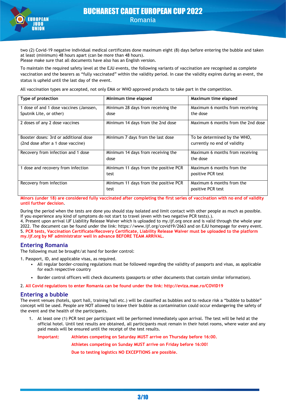

two (2) Covid-19 negative individual medical certificates done maximum eight (8) days before entering the bubble and taken at least (minimum) 48 hours apart (can be more than 48 hours). Please make sure that all documents have also has an English version.

To maintain the required safety level at the EJU events, the following variants of vaccination are recognised as complete vaccination and the bearers as "fully vaccinated" within the validity period. In case the validity expires during an event, the status is upheld until the last day of the event.

All vaccination types are accepted, not only EMA or WHO approved products to take part in the competition.

| Type of protection                      | Minimum time elapsed                  | Maximum time elapsed               |
|-----------------------------------------|---------------------------------------|------------------------------------|
| 1 dose of and 1 dose vaccines (Janssen, | Minimum 28 days from receiving the    | Maximum 6 months from receiving    |
| Sputnik Lite, or other)                 | dose                                  | the dose                           |
| 2 doses of any 2 dose vaccines          | Minimum 14 days from the 2nd dose     | Maximum 6 months from the 2nd dose |
| Booster doses: 3rd or additional dose   | Minimum 7 days from the last dose     | To be determined by the WHO,       |
| (2nd dose after a 1 dose vaccine)       |                                       | currently no end of validity       |
| Recovery from infection and 1 dose      | Minimum 14 days from receiving the    | Maximum 6 months from receiving    |
|                                         | dose                                  | the dose                           |
| dose and recovery from infection        | Minimum 11 days from the positive PCR | Maximum 6 months from the          |
|                                         | test                                  | positive PCR test                  |
| Recovery from infection                 | Minimum 11 days from the positive PCR | Maximum 6 months from the          |
|                                         | test                                  | positive PCR test                  |

**Minors (under 18) are considered fully vaccinated after completing the first series of vaccination with no end of validity until further decision**.

During the period when the tests are done you should stay isolated and limit contact with other people as much as possible. If you experience any kind of symptoms do not start to travel (even with two negative PCR tests).).

4. Present upon arrival IJF Liability Release Waiver which is uploaded to my.ijf.org once and is valid through the whole year 2022. The document can be found under the link: https://www.ijf.org/covid19/2663 and on EJU homepage for every event. 5. **PCR tests, Vaccination Certificate/Recovery Certificate, Liability Release Waiver must be uploaded to the platform my.ijf.org by NF administrator well in advance BEFORE TEAM ARRIVAL.**

#### **Entering Romania**

The following must be brought/at hand for border control:

1. Passport, ID, and applicable visas, as required.

- All regular border-crossing regulations must be followed regarding the validity of passports and visas, as applicable for each respective country
- Border control officers will check documents (passports or other documents that contain similar information).

2. **All Covid regulations to enter Romania can be found under the link: http://eviza.mae.ro/COVID19**

#### **Entering a bubble**

The event venues (hotels, sport hall, training hall etc.) will be classified as bubbles and to reduce risk a "bubble to bubble" concept will be used. People are NOT allowed to leave their bubble as contamination could occur endangering the safety of the event and the health of the participants.

1. At least one (1) PCR test per participant will be performed immediately upon arrival. The test will be held at the official hotel. Until test results are obtained, all participants must remain in their hotel rooms, where water and any paid meals will be ensured until the receipt of the test results.

**Important: Athletes competing on Saturday MUST arrive on Thursday before 16:00. Athletes competing on Sunday MUST arrive on Friday before 16:00! Due to testing logistics NO EXCEPTIONS are possible.**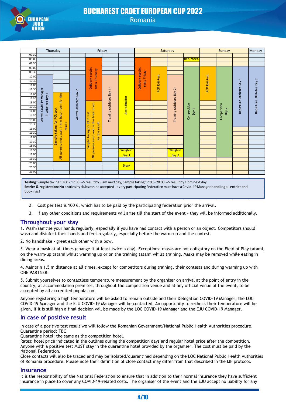

## BUCHAREST CADET EUROPEAN CUP 2022 Romania

|           | Thursday                 |                                        |                      |                                    | Friday                  |               |                                  |               | Saturday                  |                                                                                                                                                    |               | Sunday       |                          | Monday                 |
|-----------|--------------------------|----------------------------------------|----------------------|------------------------------------|-------------------------|---------------|----------------------------------|---------------|---------------------------|----------------------------------------------------------------------------------------------------------------------------------------------------|---------------|--------------|--------------------------|------------------------|
| 07:30     |                          |                                        |                      |                                    |                         |               |                                  |               |                           |                                                                                                                                                    |               |              |                          |                        |
| 08:00     |                          |                                        |                      |                                    |                         |               |                                  |               |                           | <b>Ref. Meet</b>                                                                                                                                   |               |              |                          |                        |
| 08:30     |                          |                                        |                      |                                    |                         |               |                                  |               |                           |                                                                                                                                                    |               |              |                          |                        |
| 09:00     |                          |                                        |                      |                                    |                         |               |                                  |               |                           |                                                                                                                                                    |               |              |                          |                        |
| 09:30     |                          |                                        |                      | Delivery results<br>tests Thursday |                         |               | Delivery results<br>tests Friday |               |                           |                                                                                                                                                    |               |              |                          |                        |
| 10:00     |                          |                                        |                      |                                    |                         |               |                                  | PCR Exit-test |                           |                                                                                                                                                    | PCR Exit-test |              | $\overline{\phantom{0}}$ | 2                      |
| 10:30     |                          |                                        |                      |                                    |                         |               |                                  |               |                           |                                                                                                                                                    |               |              |                          |                        |
| 11:00     |                          |                                        |                      |                                    |                         |               |                                  |               |                           |                                                                                                                                                    |               |              | Athletes Day             |                        |
| 11:30     |                          |                                        | 2                    |                                    | $\widehat{\phantom{a}}$ |               |                                  |               |                           |                                                                                                                                                    |               |              |                          |                        |
| 12:00     |                          |                                        |                      |                                    |                         |               |                                  |               |                           |                                                                                                                                                    |               |              |                          |                        |
| 12:30     |                          |                                        |                      |                                    |                         |               |                                  |               |                           |                                                                                                                                                    |               |              |                          |                        |
| 13:00     | & Atheltes Day 1         |                                        |                      |                                    |                         | Accreditation |                                  |               |                           |                                                                                                                                                    |               |              | Departure                | Departure Athletes Day |
| 13:30     |                          |                                        |                      |                                    |                         |               |                                  |               |                           | $\overline{\phantom{0}}$                                                                                                                           |               | $\mathbf{z}$ |                          |                        |
| 14:00     |                          | test                                   |                      |                                    |                         |               |                                  |               |                           | Day                                                                                                                                                |               | Day          |                          |                        |
| 14:30     | Arrival Covid-19 Manager | hotel room for the<br>PCR              | Arrival Athletes Day | hotel room<br>test                 | Training (Athletes Day  |               |                                  |               | Training (Athletes Day 2) | Competition                                                                                                                                        |               | Competition  |                          |                        |
| 15:00     |                          |                                        |                      | PCR<br>the                         |                         |               |                                  |               |                           |                                                                                                                                                    |               |              |                          |                        |
| 15:30     |                          | tor<br>result                          |                      | for the result<br>for              |                         |               |                                  |               |                           |                                                                                                                                                    |               |              |                          |                        |
| 16:00     |                          | taking                                 |                      |                                    |                         |               |                                  |               |                           |                                                                                                                                                    |               |              |                          |                        |
| 16:30     |                          |                                        |                      | taking                             |                         |               |                                  |               |                           |                                                                                                                                                    |               |              |                          |                        |
| 17:00     |                          | All persons must wait in the<br>Sample |                      | persons must wait in               |                         |               |                                  |               |                           |                                                                                                                                                    |               |              |                          |                        |
| 17:30     |                          |                                        |                      | Sample                             |                         |               |                                  |               |                           |                                                                                                                                                    |               |              |                          |                        |
| 18:00     |                          |                                        |                      |                                    |                         |               |                                  |               |                           |                                                                                                                                                    |               |              |                          |                        |
| 18:30     |                          |                                        |                      |                                    |                         | Weigh-in      |                                  |               | Weigh-in                  |                                                                                                                                                    |               |              |                          |                        |
| 19:00     |                          |                                        |                      | $\frac{1}{4}$                      |                         | Day 1         |                                  |               | Day 2                     |                                                                                                                                                    |               |              |                          |                        |
| 19:30     |                          |                                        |                      |                                    |                         |               |                                  |               |                           |                                                                                                                                                    |               |              |                          |                        |
| 20:00     |                          |                                        |                      |                                    |                         | <b>Draw</b>   |                                  |               |                           |                                                                                                                                                    |               |              |                          |                        |
| 20:30     |                          |                                        |                      |                                    |                         |               |                                  |               |                           |                                                                                                                                                    |               |              |                          |                        |
| 21:00     |                          |                                        |                      |                                    |                         |               |                                  |               |                           |                                                                                                                                                    |               |              |                          |                        |
|           |                          |                                        |                      |                                    |                         |               |                                  |               |                           |                                                                                                                                                    |               |              |                          |                        |
|           |                          |                                        |                      |                                    |                         |               |                                  |               |                           | Testing: Sample taking 10:00 - 17:00 --> result by 8 am next day, Sample taking 17:00 - 20:00 --> result by 1 pm next day                          |               |              |                          |                        |
|           |                          |                                        |                      |                                    |                         |               |                                  |               |                           | Entries & registration: No entries by clubs can be accepted - every participating Federation must have a Covid-19 Manager handling all entries and |               |              |                          |                        |
| bookings! |                          |                                        |                      |                                    |                         |               |                                  |               |                           |                                                                                                                                                    |               |              |                          |                        |

- 2. Cost per test is 100  $\epsilon$ , which has to be paid by the participating federation prior the arrival.
- 3. If any other conditions and requirements will arise till the start of the event they will be informed additionally.

#### **Throughout your stay**

1. Wash/sanitise your hands regularly, especially if you have had contact with a person or an object. Competitors should wash and disinfect their hands and feet regularly, especially before the warm-up and the contest.

2. No handshake - greet each other with a bow.

3. Wear a mask at all times (change it at least twice a day). Exceptions: masks are not obligatory on the Field of Play tatami, on the warm-up tatami whilst warming up or on the training tatami whilst training. Masks may be removed while eating in dining areas.

4. Maintain 1.5 m distance at all times, except for competitors during training, their contests and during warming up with ONE PARTNER.

5. Submit yourselves to contactless temperature measurement by the organiser on arrival at the point of entry in the country, at accommodation premises, throughout the competition venue and at any official venue of the event, to be accepted by all accredited population.

Anyone registering a high temperature will be asked to remain outside and their Delegation COVID-19 Manager, the LOC COVID-19 Manager and the EJU COVID-19 Manager will be contacted. An opportunity to recheck their temperature will be given, if it is still high a final decision will be made by the LOC COVID-19 Manager and the EJU COVID-19 Manager.

## **In case of positive result**

In case of a positive test result we will follow the Romanian Government/National Public Health Authorities procedure. Quarantine period: TBC

Quarantine hotel: the same as the competition hotel.

Rates: hotel price indicated in the outlines during the competition days and regular hotel price after the competition. Anyone with a positive test MUST stay in the quarantine hotel provided by the organiser. The cost must be paid by the National Federation.

Close contacts will also be traced and may be isolated/quarantined depending on the LOC National Public Health Authorities of Romania procedure. Please note their definition of close contact may differ from that described in the IJF protocol.

#### **Insurance**

It is the responsibility of the National Federation to ensure that in addition to their normal insurance they have sufficient insurance in place to cover any COVID-19-related costs. The organiser of the event and the EJU accept no liability for any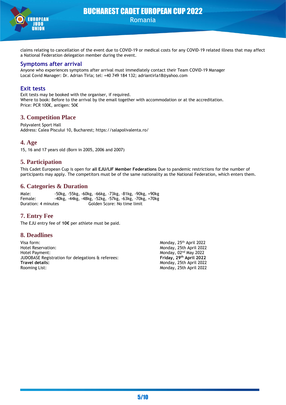

claims relating to cancellation of the event due to COVID-19 or medical costs for any COVID-19 related illness that may affect a National Federation delegation member during the event.

#### **Symptoms after arrival**

Anyone who experiences symptoms after arrival must immediately contact their Team COVID-19 Manager Local Covid Manager: Dr. Adrian Tirla; tel: +40 749 184 132; adriantirla18@yahoo.com

## **Exit tests**

Exit tests may be booked with the organiser, if required. Where to book: Before to the arrival by the email together with accommodation or at the accreditation. Price: PCR 100€, antigen: 50€

## **3. Competition Place**

Polyvalent Sport Hall Address: Calea Piscului 10, Bucharest; https://salapolivalenta.ro/

## **4. Age**

15, 16 and 17 years old (Born in 2005, 2006 and 2007)

## **5. Participation**

This Cadet European Cup is open for **all EJU/IJF Member Federations** Due to pandemic restrictions for the number of participants may apply. The competitors must be of the same nationality as the National Federation, which enters them.

## **6. Categories & Duration**

Male: -50kg, -55kg, -60kg, -66kg, -73kg, -81kg, -90kg, +90kg Female: -40kg, -44kg, -48kg, -52kg, -57kg, -63kg, -70kg, +70kg Duration: 4 minutes Golden Score: No time limit

## **7. Entry Fee**

The EJU entry fee of **10€** per athlete must be paid.

## **8. Deadlines**

Visa form: Monday, 25<sup>th</sup> April 2022 Hotel Reservation: Monday, 25th April 2022 Hotel Payment:<br>JUDOBASE Registration for delegations & referees: The Monday, 02<sup>nd</sup> May 2022 Monday, 02<sup>nd</sup> May 2022 JUDOBASE Registration for delegations & referees: **Friday, 29th April 2022 Travel details:** Monday, 25th April 2022 Monday, 25th April 2022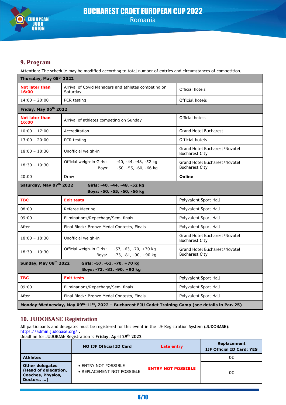

## **9. Program**

Attention: The schedule may be modified according to total number of entries and circumstances of competition.

| Thursday, May 05th 2022        |                                                                                     |                                                               |  |  |
|--------------------------------|-------------------------------------------------------------------------------------|---------------------------------------------------------------|--|--|
| <b>Not later than</b><br>16:00 | Arrival of Covid Managers and athletes competing on<br>Saturday                     | Official hotels                                               |  |  |
| $14:00 - 20:00$                | PCR testing<br>Official hotels                                                      |                                                               |  |  |
| Friday, May 06th 2022          |                                                                                     |                                                               |  |  |
| <b>Not later than</b><br>16:00 | Arrival of athletes competing on Sunday                                             | Official hotels                                               |  |  |
| $10:00 - 17:00$                | Accreditation                                                                       | <b>Grand Hotel Bucharest</b>                                  |  |  |
| $13:00 - 20:00$                | PCR testing                                                                         | Official hotels                                               |  |  |
| $18:00 - 18:30$                | Unofficial weigh-in                                                                 | <b>Grand Hotel Bucharest/Novotel</b><br><b>Bucharest City</b> |  |  |
| $18:30 - 19:30$                | -40, -44, -48, -52 kg<br>Official weigh-in Girls:<br>-50, -55, -60, -66 kg<br>Boys: | Grand Hotel Bucharest/Novotel<br><b>Bucharest City</b>        |  |  |
| 20:00                          | Draw                                                                                | Online                                                        |  |  |
| Saturday, May 07th 2022        | Girls: -40, -44, -48, -52 kg<br>Boys: -50, -55, -60, -66 kg                         |                                                               |  |  |
| <b>TBC</b>                     | <b>Exit tests</b>                                                                   | Polyvalent Sport Hall                                         |  |  |
| 08:00                          | Referee Meeting                                                                     | Polyvalent Sport Hall                                         |  |  |
| 09:00                          | Eliminations/Repechage/Semi finals                                                  | Polyvalent Sport Hall                                         |  |  |
| After                          | Final Block: Bronze Medal Contests, Finals                                          | Polyvalent Sport Hall                                         |  |  |
|                                |                                                                                     |                                                               |  |  |
| $18:00 - 18:30$                | Unofficial weigh-in                                                                 | Grand Hotel Bucharest/Novotel<br><b>Bucharest City</b>        |  |  |
| $18:30 - 19:30$                | Official weigh-in Girls:<br>-57, -63, -70, +70 kg<br>-73, -81, -90, +90 kg<br>Boys: | Grand Hotel Bucharest/Novotel<br><b>Bucharest City</b>        |  |  |
| Sunday, May 08th 2022          | Girls: -57, -63, -70, +70 kg                                                        |                                                               |  |  |
|                                | Boys: -73, -81, -90, +90 kg                                                         |                                                               |  |  |
| <b>TBC</b>                     | <b>Exit tests</b>                                                                   | Polyvalent Sport Hall                                         |  |  |
| 09:00                          | Eliminations/Repechage/Semi finals                                                  | Polyvalent Sport Hall                                         |  |  |
| After                          | Final Block: Bronze Medal Contests, Finals                                          | Polyvalent Sport Hall                                         |  |  |

## **10. JUDOBASE Registration**

All participants and delegates must be registered for this event in the IJF Registration System (**JUDOBASE)**:

<https://admin.judobase.org/>. Deadline for JUDOBASE Registration is **Friday, April 29th 2022**

|                                                                                          | <b>NO IJF Official ID Card</b>                     | Late entry                | Replacement<br><b>IJF Official ID Card: YES</b> |
|------------------------------------------------------------------------------------------|----------------------------------------------------|---------------------------|-------------------------------------------------|
| <b>Athletes</b>                                                                          |                                                    |                           | 0€                                              |
| <b>Other delegates</b><br>(Head of delegation,<br><b>Coaches, Physios,</b><br>Doctors, ) | • ENTRY NOT POSSIBLE<br>• REPLACEMENT NOT POSSIBLE | <b>ENTRY NOT POSSIBLE</b> | 0€                                              |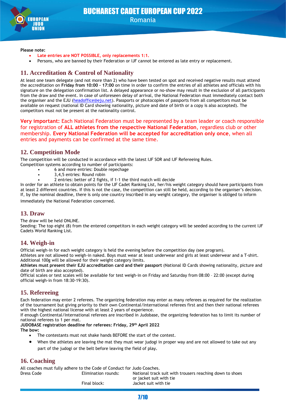

## BUCHAREST CADET EUROPEAN CUP 2022 Romania

#### **Please note:**

- **Late entries are NOT POSSIBLE, only replacements 1:1.**
- Persons, who are banned by their Federation or IJF cannot be entered as late entry or replacement.

## **11. Accreditation & Control of Nationality**

At least one team delegate (and not more than 2) who have been tested on spot and received negative results must attend the accreditation on **Friday from 10:00 – 17:00** on time in order to confirm the entries of all athletes and officials with his signature on the delegation confirmation list. A delayed appearance or no-show may result in the exclusion of all participants from the draw and the event. In case of unforeseen delay of arrival, the National Federation must immediately contact both the organiser and the EJU [\(headoffice@eju.net\)](mailto:headoffice@eju.net). Passports or photocopies of passports from all competitors must be available on request (national ID Card showing nationality, picture and date of birth or a copy is also accepted). The competitors must not be present at the nationality control.

**Very important:** Each National Federation must be represented by a team leader or coach responsible for registration of **ALL athletes from the respective National Federation**, regardless club or other membership. **Every National Federation will be accepted for accreditation only once**, when all entries and payments can be confirmed at the same time.

## **12. Competition Mode**

The competition will be conducted in accordance with the latest IJF SOR and IJF Refereeing Rules. Competition systems according to number of participants:

- 6 and more entries: Double repechage
- 3,4,5 entries: Round robin
- 2 entries: better of 2 fights, if 1-1 the third match will decide

In order for an athlete to obtain points for the IJF Cadet Ranking List, her/his weight category should have participants from at least 2 different countries. If this is not the case, the competition can still be held, according to the organiser's decision. If, by the nominal deadline, there is only one country inscribed in any weight category, the organiser is obliged to inform

immediately the National Federation concerned.

## **13. Draw**

The draw will be held ONLINE.

Seeding: The top eight (8) from the entered competitors in each weight category will be seeded according to the current IJF Cadets World Ranking List.

## **14. Weigh-in**

Official weigh-in for each weight category is held the evening before the competition day (see program).

Athletes are not allowed to weigh-in naked. Boys must wear at least underwear and girls at least underwear and a T-shirt. Additional 100g will be allowed for their weight category limits.

**Athletes must present their EJU accreditation card and their passport** (National ID Cards showing nationality, picture and date of birth are also accepted).

Official scales or test scales will be available for test weigh-in on Friday and Saturday from 08:00 – 22:00 (except during official weigh-in from 18:30-19:30).

## **15. Refereeing**

Each federation may enter 2 referees. The organizing federation may enter as many referees as required for the realization of the tournament but giving priority to their own Continental/International referees first and then their national referees with the highest national license with at least 2 years of experience.

If enough Continental/International referees are inscribed in Judobase, the organizing federation has to limit its number of national referees to 1 per mat.

## **JUDOBASE registration deadline for referees: Friday, 29th April 2022**

**The bow:**

- The contestants must not shake hands BEFORE the start of the contest.
- When the athletes are leaving the mat they must wear judogi in proper way and are not allowed to take out any part of the judogi or the belt before leaving the field of play.

## **16. Coaching**

All coaches must fully adhere to the Code of Conduct for Judo Coaches.

Dress Code Elimination rounds: National track suit with trousers reaching down to shoes or jacket suit with tie Final block: Jacket suit with tie

7/10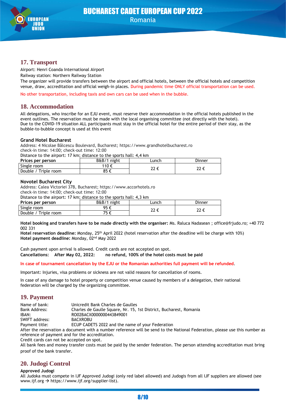

## **17. Transport**

Airport: Henri Coanda International Airport

Railway station: Northern Railway Station

The organizer will provide transfers between the airport and official hotels, between the official hotels and competition venue, draw, accreditation and official weigh-in places. During pandemic time ONLY official transportation can be used.

No other transportation, including taxis and own cars can be used when in the bubble.

## **18. Accommodation**

All delegations, who inscribe for an EJU event, must reserve their accommodation in the official hotels published in the event outlines. The reservation must be made with the local organising committee (not directly with the hotel). Due to the COVID-19 situation ALL participants must stay in the official hotel for the entire period of their stay, as the bubble-to-bubble concept is used at this event

#### **Grand Hotel Bucharest**

Address: 4 Nicolae Bălcescu Boulevard, Bucharest; https://www.grandhotelbucharest.ro check-in time: 14:00; check-out time: 12:00

Distance to the airport: 17 km; distance to the sports hall: 4,4 km

| Prices per person    | B&B/1<br>night | _unch | Dinner |
|----------------------|----------------|-------|--------|
| Single room          | 110 €          | י הר  | י הר   |
| Double / Triple room | ደፍ ራ           | ∠∠ Ն  | ᄯ      |

#### **Novotel Bucharest City**

Address: Calea Victoriei 37B, Bucharest; https://www.accorhotels.ro check-in time: 14:00; check-out time: 12:00 Distance to the airport: 17 km; distance to the sports hall: 4,3 km

| <b>Protained to the angolitical minimum and the to the sports have no him</b> |             |       |        |
|-------------------------------------------------------------------------------|-------------|-------|--------|
| Prices per person                                                             | B&B/1 night | -unch | Dinner |
| Single room                                                                   | 95f         | າາ ∠  |        |
| Double / Triple room                                                          |             | 22 L  | ᄯᄕ     |

**Hotel booking and transfers have to be made directly with the organiser:** Ms. Raluca Nadasean ; office@frjudo.ro; +40 772 002 331

Hotel reservation deadline: Monday, 25<sup>th</sup> April 2022 (hotel reservation after the deadline will be charge with 10%) Hotel payment deadline: Monday, 02<sup>nd</sup> May 2022

Cash payment upon arrival is allowed. Credit cards are not accepted on spot. **Cancellations: After May 02, 2022: no refund, 100% of the hotel costs must be paid**

#### **In case of tournament cancellation by the EJU or the Romanian authorities full payment will be refunded**.

Important: Injuries, visa problems or sickness are not valid reasons for cancellation of rooms.

In case of any damage to hotel property or competition venue caused by members of a delegation, their national federation will be charged by the organizing committee.

## **19. Payment**

| Name of bank:  | Unicredit Bank Charles de Gaulles                                                                                           |
|----------------|-----------------------------------------------------------------------------------------------------------------------------|
| Bank Address:  | Charles de Gaulle Square, Nr. 15, 1st District, Bucharest, Romania                                                          |
| IBAN:          | RO02BACX0000000443849001                                                                                                    |
| SWIFT address: | BACXROBU                                                                                                                    |
| Payment title: | ECUP CADETS 2022 and the name of your Federation                                                                            |
|                | After the reservation a document with a number reference will be send to the National Federation, please use this number as |
|                | reference of payment and for the accreditation.                                                                             |

Credit cards can not be accepted on spot.

All bank fees and money transfer costs must be paid by the sender federation. The person attending accreditation must bring proof of the bank transfer.

## **20. Judogi Control**

#### **Approved Judogi**

All Judoka must compete in IJF Approved Judogi (only red label allowed) and Judogis from all IJF suppliers are allowed (see www.ijf.org → https://www.ijf.org/supplier-list).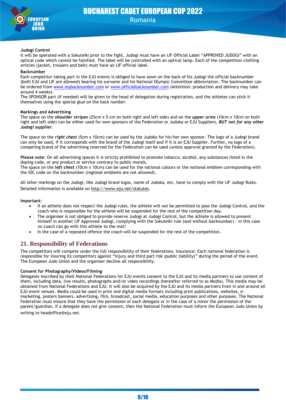

#### **Judogi Control**

It will be operated with a Sokuteiki prior to the fight. Judogi must have an IJF Official Label "APPROVED JUDOGI" with an optical code which cannot be falsified. The label will be controlled with an optical lamp. Each of the competition clothing articles (jacket, trousers and belt) must have an IJF official label.

#### **Backnumber**

Each competitor taking part in the EJU events is obliged to have sewn on the back of his Judogi the official backnumber (both EJU and IJF are allowed) bearing his surname and his National Olympic Committee abbreviation. The backnumber can be ordered from [www.mybacknumber.com](http://www.mybacknumber.com/) or [www.officialbacknumber.com](http://www.officialbacknumber.com/) (Attention: production and delivery may take around 4 weeks).

The SPONSOR part (if needed) will be given to the head of delegation during registration, and the athletes can stick it themselves using the special glue on the back number.

#### **Markings and Advertising**

The space on the *shoulder stripes* (25cm x 5 cm on both right and left side) and on the *upper arms* (10cm x 10cm on both right and left side) can be either used for own sponsors of the Federation or Judoka or EJU Suppliers, *BUT not for any other Judogi supplier*.

The space on the *right chest* (5cm x 10cm) can be used by the Judoka for his/her own sponsor. The logo of a Judogi brand can only be used, if it corresponds with the brand of the Judogi itself and if it is an EJU Supplier. Further, no logo of a competing brand of the advertising reserved for the Federation can be used (unless approval granted by the Federation).

*Please note*: On all advertising spaces it is strictly prohibited to promote tobacco, alcohol, any substances listed in the doping code, or any product or service contrary to public morals.

The space on the *left chest* (10cm x 10cm) can be used for the national colours or the national emblem corresponding with the IOC code on the backnumber (regional emblems are not allowed).

All other markings on the Judogi, like Judogi brand logos, name of Judoka, etc. have to comply with the IJF Judogi Rules. Detailed information is available on<http://www.eju.net/statutes>.

#### **Important:**

- If an athlete does not respect the Judogi rules, the athlete will not be permitted to pass the Judogi Control, and the coach who is responsible for the athlete will be suspended for the rest of the competition day.
- The organiser is not obliged to provide reserve Judogi at Judogi Control, but the athlete is allowed to present himself in another IJF Approved Judogi, complying with the Sokuteiki rule (and without backnumber) - in this case no coach can go with this athlete to the mat!
- In the case of a repeated offence the coach will be suspended for the rest of the competition.

## **21. Responsibility of Federations**

The competitors will compete under the full responsibility of their federations. Insurance: Each national federation is responsible for insuring its competitors against "injury and third part risk (public liability)" during the period of the event. The European Judo Union and the organiser decline all responsibility.

#### **Consent for Photography/Videos/Filming**

Delegates inscribed by their National Federations for EJU events consent to the EJU and its media partners to use content of them, including data, live results, photographs and/or video recordings (hereafter referred to as Media). This media may be obtained from National Federations and EJU. It will also be acquired by the EJU and its media partners from in and around all EJU event venues. Media could be used in print and digital media formats including print publications, websites, emarketing, posters banners, advertising, film, broadcast, social media, education purposes and other purposes. The National Federation must ensure that they have the permission of each delegate or in the case of a minor the permission of the parent/guardian. If a delegate does not give consent, then the National Federation must inform the European Judo Union by writing to headoffice@eju.net.